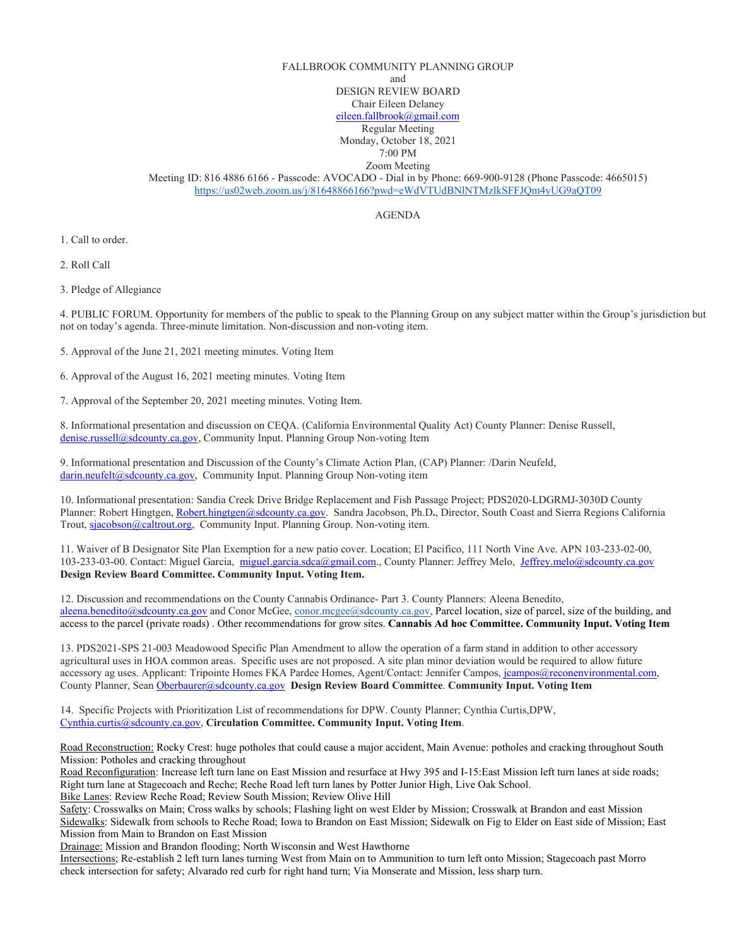## FALLBROOK COMMUNITY PLANNING GROUP

and

DESIGN REVIEW BOARD

Chair Eileen Delaney

[eileen.fallbrook@gmail.com](mailto:eileen.fallbrook@gmail.com) Regular Meeting

Monday, October 18, 2021

7:00 PM Zoom Meeting

Meeting ID: 816 4886 6166 - Passcode: AVOCADO - Dial in by Phone: 669-900-9128 (Phone Passcode: 4665015) <https://us02web.zoom.us/j/81648866166?pwd=eWdVTUdBNlNTMzlkSFFJQm4yUG9aQT09>

AGENDA

1. Call to order.

2. Roll Call

3. Pledge of Allegiance

4. PUBLIC FORUM. Opportunity for members of the public to speak to the Planning Group on any subject matter within the Group's jurisdiction but not on today's agenda. Three-minute limitation. Non-discussion and non-voting item.

5. Approval of the June 21, 2021 meeting minutes. Voting Item

6. Approval of the August 16, 2021 meeting minutes. Voting Item

7. Approval of the September 20, 2021 meeting minutes. Voting Item.

8. Informational presentation and discussion on CEQA. (California Environmental Quality Act) County Planner: Denise Russell, [denise.russell@sdcounty.ca.gov,](mailto:denise.russell@sdcounty.ca.gov) Community Input. Planning Group Non-voting Item

9. Informational presentation and Discussion of the County's Climate Action Plan, (CAP) Planner: /Darin Neufeld, [darin.neufelt@sdcounty.ca.gov,](mailto:darin.neufelt@sdcounty.ca.gov) Community Input. Planning Group Non-voting item

10. Informational presentation: Sandia Creek Drive Bridge Replacement and Fish Passage Project; PDS2020-LDGRMJ-3030D County Planner: Robert Hingtgen[, Robert.hingtgen@sdcounty.ca.gov.](mailto:Robert.hingtgen@sdcounty.ca.gov) Sandra Jacobson, Ph.D**.**, Director, South Coast and Sierra Regions California Trout, [sjacobson@caltrout.org,](mailto:sjacobson@caltrout.org) Community Input. Planning Group. Non-voting item.

11. Waiver of B Designator Site Plan Exemption for a new patio cover. Location; El Pacifico, 111 North Vine Ave. APN 103-233-02-00, 103-233-03-00. Contact: Miguel Garcia, [miguel.garcia.sdca@gmail.com.](mailto:miguel.garcia.sdca@gmail.com), County Planner: Jeffrey Melo, [Jeffrey.melo@sdcounty.ca.gov](mailto:Jeffrey.melo@sdcounty.ca.gov) **Design Review Board Committee. Community Input. Voting Item.**

12. Discussion and recommendations on the County Cannabis Ordinance- Part 3. County Planners: Aleena Benedito, [aleena.benedito@sdcounty.ca.gov](mailto:aleena.benedito@sdcounty.ca.gov) and Conor McGee, [conor.mcgee@sdcounty.ca.gov,](mailto:conor.mcgee@sdcounty.ca.gov) Parcel location, size of parcel, size of the building, and access to the parcel (private roads) . Other recommendations for grow sites. **Cannabis Ad hoc Committee. Community Input. Voting Item**

13. PDS2021-SPS 21-003 Meadowood Specific Plan Amendment to allow the operation of a farm stand in addition to other accessory agricultural uses in HOA common areas. Specific uses are not proposed. A site plan minor deviation would be required to allow future accessory ag uses. Applicant: Tripointe Homes FKA Pardee Homes, Agent/Contact: Jennifer Campos[, jcampos@reconenvironmental.com,](mailto:jcampos@reconenvironmental.com) County Planner, Sean [Oberbaurer@sdcounty.ca.gov](mailto:Oberbaurer@sdcounty.ca.gov) **Design Review Board Committee**. **Community Input. Voting Item**

14. Specific Projects with Prioritization List of recommendations for DPW. County Planner; Cynthia Curtis,DPW, [Cynthia.curtis@sdcounty.ca.gov,](mailto:Cynthia.curtis@sdcounty.ca.gov) **Circulation Committee. Community Input. Voting Item**.

Road Reconstruction: Rocky Crest: huge potholes that could cause a major accident, Main Avenue: potholes and cracking throughout South Mission: Potholes and cracking throughout

Road Reconfiguration: Increase left turn lane on East Mission and resurface at Hwy 395 and I-15:East Mission left turn lanes at side roads; Right turn lane at Stagecoach and Reche; Reche Road left turn lanes by Potter Junior High, Live Oak School.

Bike Lanes: Review Reche Road; Review South Mission; Review Olive Hill

Safety: Crosswalks on Main; Cross walks by schools; Flashing light on west Elder by Mission; Crosswalk at Brandon and east Mission Sidewalks: Sidewalk from schools to Reche Road; Iowa to Brandon on East Mission; Sidewalk on Fig to Elder on East side of Mission; East Mission from Main to Brandon on East Mission

Drainage: Mission and Brandon flooding; North Wisconsin and West Hawthorne

Intersections; Re-establish 2 left turn lanes turning West from Main on to Ammunition to turn left onto Mission; Stagecoach past Morro check intersection for safety; Alvarado red curb for right hand turn; Via Monserate and Mission, less sharp turn.